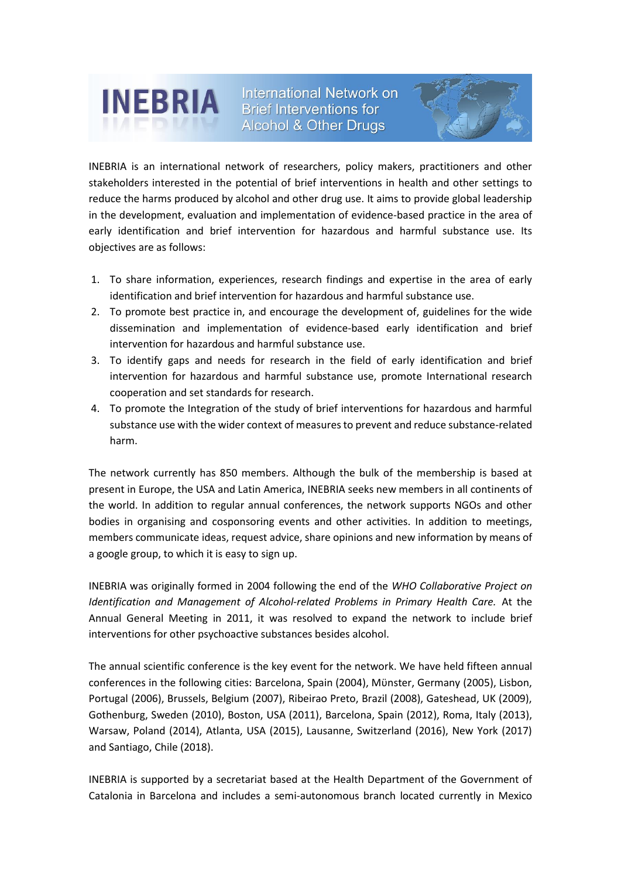

International Network on **Brief Interventions for Alcohol & Other Drugs** 



INEBRIA is an international network of researchers, policy makers, practitioners and other stakeholders interested in the potential of brief interventions in health and other settings to reduce the harms produced by alcohol and other drug use. It aims to provide global leadership in the development, evaluation and implementation of evidence-based practice in the area of early identification and brief intervention for hazardous and harmful substance use. Its objectives are as follows:

- 1. To share information, experiences, research findings and expertise in the area of early identification and brief intervention for hazardous and harmful substance use.
- 2. To promote best practice in, and encourage the development of, guidelines for the wide dissemination and implementation of evidence‐based early identification and brief intervention for hazardous and harmful substance use.
- 3. To identify gaps and needs for research in the field of early identification and brief intervention for hazardous and harmful substance use, promote International research cooperation and set standards for research.
- 4. To promote the Integration of the study of brief interventions for hazardous and harmful substance use with the wider context of measures to prevent and reduce substance-related harm.

The network currently has 850 members. Although the bulk of the membership is based at present in Europe, the USA and Latin America, INEBRIA seeks new members in all continents of the world. In addition to regular annual conferences, the network supports NGOs and other bodies in organising and cosponsoring events and other activities. In addition to meetings, members communicate ideas, request advice, share opinions and new information by means of a google group, to which it is easy to sign up.

INEBRIA was originally formed in 2004 following the end of the *WHO Collaborative Project on Identification and Management of Alcohol-related Problems in Primary Health Care.* At the Annual General Meeting in 2011, it was resolved to expand the network to include brief interventions for other psychoactive substances besides alcohol.

The annual scientific conference is the key event for the network. We have held fifteen annual conferences in the following cities: Barcelona, Spain (2004), Mϋnster, Germany (2005), Lisbon, Portugal (2006), Brussels, Belgium (2007), Ribeirao Preto, Brazil (2008), Gateshead, UK (2009), Gothenburg, Sweden (2010), Boston, USA (2011), Barcelona, Spain (2012), Roma, Italy (2013), Warsaw, Poland (2014), Atlanta, USA (2015), Lausanne, Switzerland (2016), New York (2017) and Santiago, Chile (2018).

INEBRIA is supported by a secretariat based at the Health Department of the Government of Catalonia in Barcelona and includes a semi‐autonomous branch located currently in Mexico